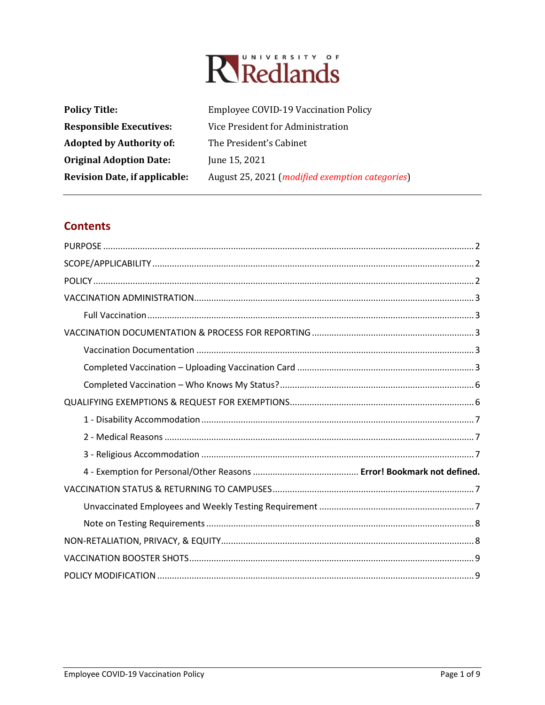# Rikedlands

| <b>Policy Title:</b>                 | <b>Employee COVID-19 Vaccination Policy</b>              |
|--------------------------------------|----------------------------------------------------------|
| <b>Responsible Executives:</b>       | Vice President for Administration                        |
| <b>Adopted by Authority of:</b>      | The President's Cabinet                                  |
| <b>Original Adoption Date:</b>       | June 15, 2021                                            |
| <b>Revision Date, if applicable:</b> | August 25, 2021 ( <i>modified exemption categories</i> ) |

## **Contents**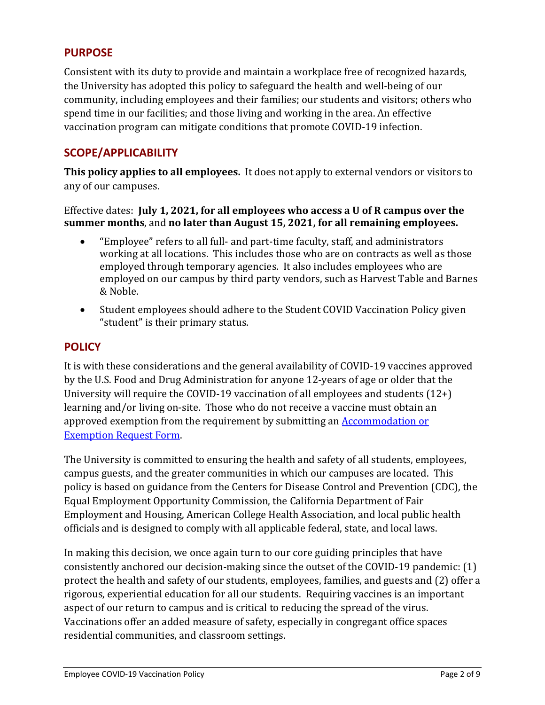## <span id="page-1-0"></span>**PURPOSE**

Consistent with its duty to provide and maintain a workplace free of recognized hazards, the University has adopted this policy to safeguard the health and well-being of our community, including employees and their families; our students and visitors; others who spend time in our facilities; and those living and working in the area. An effective vaccination program can mitigate conditions that promote COVID-19 infection.

# <span id="page-1-1"></span>**SCOPE/APPLICABILITY**

**This policy applies to all employees.** It does not apply to external vendors or visitors to any of our campuses.

Effective dates: **July 1, 2021, for all employees who access a U of R campus over the summer months**, and **no later than August 15, 2021, for all remaining employees.**

- "Employee" refers to all full- and part-time faculty, staff, and administrators working at all locations. This includes those who are on contracts as well as those employed through temporary agencies. It also includes employees who are employed on our campus by third party vendors, such as Harvest Table and Barnes & Noble.
- Student employees should adhere to the Student COVID Vaccination Policy given "student" is their primary status.

#### <span id="page-1-2"></span>**POLICY**

It is with these considerations and the general availability of COVID-19 vaccines approved by the U.S. Food and Drug Administration for anyone 12-years of age or older that the University will require the COVID-19 vaccination of all employees and students (12+) learning and/or living on-site. Those who do not receive a vaccine must obtain an approved exemption from the requirement by submitting an [Accommodation or](https://etcentral.redlands.edu/#/form/177?header=false&focus=true)  [Exemption Request Form.](https://etcentral.redlands.edu/#/form/177?header=false&focus=true)

The University is committed to ensuring the health and safety of all students, employees, campus guests, and the greater communities in which our campuses are located. This policy is based on guidance from the Centers for Disease Control and Prevention (CDC), the Equal Employment Opportunity Commission, the California Department of Fair Employment and Housing, American College Health Association, and local public health officials and is designed to comply with all applicable federal, state, and local laws.

In making this decision, we once again turn to our core guiding principles that have consistently anchored our decision-making since the outset of the COVID-19 pandemic: (1) protect the health and safety of our students, employees, families, and guests and (2) offer a rigorous, experiential education for all our students. Requiring vaccines is an important aspect of our return to campus and is critical to reducing the spread of the virus. Vaccinations offer an added measure of safety, especially in congregant office spaces residential communities, and classroom settings.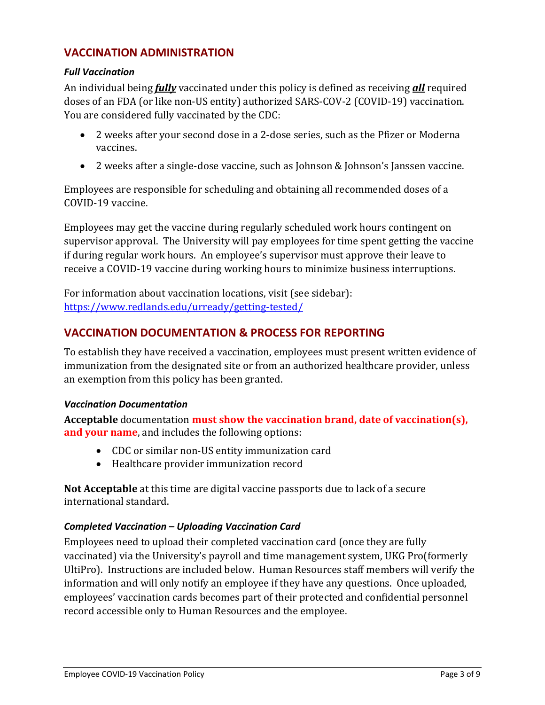## <span id="page-2-0"></span>**VACCINATION ADMINISTRATION**

#### <span id="page-2-1"></span>*Full Vaccination*

An individual being *fully* vaccinated under this policy is defined as receiving *all* required doses of an FDA (or like non-US entity) authorized SARS-COV-2 (COVID-19) vaccination. You are considered fully vaccinated by the CDC:

- 2 weeks after your second dose in a 2-dose series, such as the Pfizer or Moderna vaccines.
- 2 weeks after a single-dose vaccine, such as Johnson & Johnson's Janssen vaccine.

Employees are responsible for scheduling and obtaining all recommended doses of a COVID-19 vaccine.

Employees may get the vaccine during regularly scheduled work hours contingent on supervisor approval. The University will pay employees for time spent getting the vaccine if during regular work hours. An employee's supervisor must approve their leave to receive a COVID-19 vaccine during working hours to minimize business interruptions.

For information about vaccination locations, visit (see sidebar): <https://www.redlands.edu/urready/getting-tested/>

## <span id="page-2-2"></span>**VACCINATION DOCUMENTATION & PROCESS FOR REPORTING**

To establish they have received a vaccination, employees must present written evidence of immunization from the designated site or from an authorized healthcare provider, unless an exemption from this policy has been granted.

#### <span id="page-2-3"></span>*Vaccination Documentation*

**Acceptable** documentation **must show the vaccination brand, date of vaccination(s), and your name**, and includes the following options:

- CDC or similar non-US entity immunization card
- Healthcare provider immunization record

**Not Acceptable** at this time are digital vaccine passports due to lack of a secure international standard.

#### <span id="page-2-4"></span>*Completed Vaccination – Uploading Vaccination Card*

Employees need to upload their completed vaccination card (once they are fully vaccinated) via the University's payroll and time management system, UKG Pro(formerly UltiPro). Instructions are included below. Human Resources staff members will verify the information and will only notify an employee if they have any questions. Once uploaded, employees' vaccination cards becomes part of their protected and confidential personnel record accessible only to Human Resources and the employee.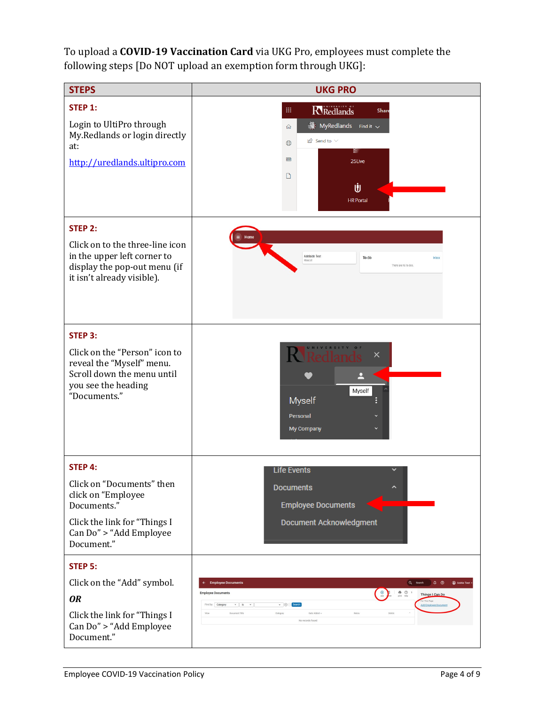To upload a **COVID-19 Vaccination Card** via UKG Pro, employees must complete the following steps [Do NOT upload an exemption form through UKG]:

| <b>STEPS</b>                                                                                                                                              | <b>UKG PRO</b>                                                                                                                                                                                                                                                                                                                                                                          |
|-----------------------------------------------------------------------------------------------------------------------------------------------------------|-----------------------------------------------------------------------------------------------------------------------------------------------------------------------------------------------------------------------------------------------------------------------------------------------------------------------------------------------------------------------------------------|
| STEP 1:<br>Login to UltiPro through<br>My.Redlands or login directly<br>at:<br>http://uredlands.ultipro.com                                               | <b>R</b> Redlands<br>$\mathop{\mathbb{H}}$<br>Share<br>$\bullet$ MyRedlands Find it $\checkmark$<br>⋒<br>$\mathbb{B}$ Send to $\vee$<br>$\bigoplus$<br>≌<br>$\Box$<br>25Live<br>▯<br>Ů<br><b>HR</b> Portal                                                                                                                                                                              |
| STEP 2:<br>Click on to the three-line icon<br>in the upper left corner to<br>display the pop-out menu (if<br>it isn't already visible).                   | Adelaide Test<br>To do<br>Inbox<br>There are no to dos.                                                                                                                                                                                                                                                                                                                                 |
| STEP 3:<br>Click on the "Person" icon to<br>reveal the "Myself" menu.<br>Scroll down the menu until<br>you see the heading<br>"Documents."                | <b>UNIVERSITY</b><br>×<br>Myself<br><b>Myself</b><br>Personal<br>My Company                                                                                                                                                                                                                                                                                                             |
| <b>STEP 4:</b><br>Click on "Documents" then<br>click on "Employee<br>Documents."<br>Click the link for "Things I<br>Can Do" > "Add Employee<br>Document." | <b>Life Events</b><br><b>Documents</b><br>^<br><b>Employee Documents</b><br>Document Acknowledgment                                                                                                                                                                                                                                                                                     |
| <b>STEP 5:</b><br>Click on the "Add" symbol.<br><b>OR</b><br>Click the link for "Things I<br>Can Do" > "Add Employee<br>Document."                        | Addie Test .<br>Q Search<br>$Q$ $Q$<br><b>Employee Documents</b><br>$\odot$<br>$\bullet$ $\circ$ ><br><b>Employee Documents</b><br>Things I Can Do<br>r This Page<br>Find by Category<br>$\mathbf{v}$ is $\mathbf{v}$<br>$\bullet$ $\oplus$ $\bullet$ Searc<br><b>Add Employee Documer</b><br>Date Added +<br>Notes<br>Document Title<br>View<br>Category<br>Delete<br>No records found |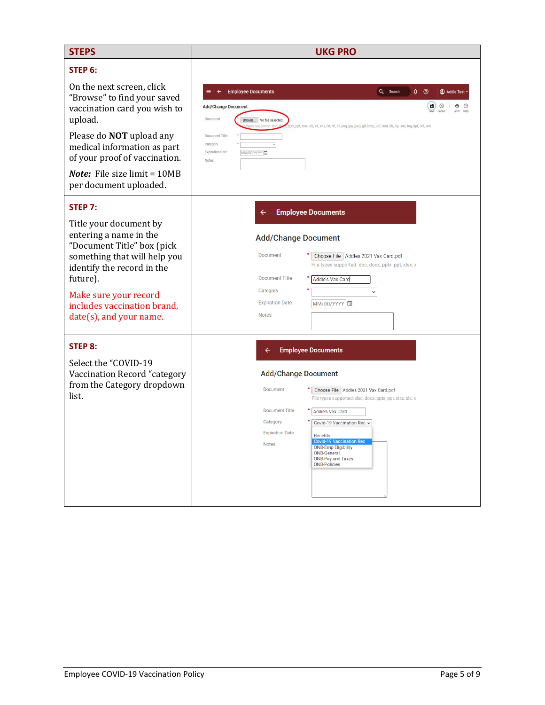| <b>STEPS</b>                                                                                    | <b>UKG PRO</b>                                                                                                                                                                                                                                |
|-------------------------------------------------------------------------------------------------|-----------------------------------------------------------------------------------------------------------------------------------------------------------------------------------------------------------------------------------------------|
| STEP 6:<br>On the next screen, click                                                            | <b>Employee Documents</b><br>Q Search<br>$\hat{\mathfrak{g}}$ $\circledcirc$<br>Addie Test                                                                                                                                                    |
| "Browse" to find your saved<br>vaccination card you wish to<br>upload.                          | d)<br>$\circledR$<br>ē<br><b>Add/Change Document</b><br>Document<br>Browse No file selected.<br>.<br>pptx, ppt, xlsx, xls, xlt, xltx, txt, rtf, tif, png, jpg, jpeg, gif, bmp, pdf, mht, db, zip, xml, log, dpt, odt, ods<br>es supported: de |
| Please do <b>NOT</b> upload any<br>medical information as part<br>of your proof of vaccination. | Document Title<br>Category<br>$\overline{\vee}$<br><b>Expiration Date</b><br>MM/DD/YYYY<br><b>Notes</b>                                                                                                                                       |
| <b>Note:</b> File size limit = 10MB<br>per document uploaded.                                   |                                                                                                                                                                                                                                               |
| STEP <sub>7:</sub>                                                                              | <b>Employee Documents</b><br>$\leftarrow$                                                                                                                                                                                                     |
| Title your document by<br>entering a name in the<br>"Document Title" box (pick                  | <b>Add/Change Document</b>                                                                                                                                                                                                                    |
| something that will help you<br>identify the record in the<br>future).                          | Document<br>Choose File   Addies 2021 Vax Card.pdf<br>File types supported: doc, docx, pptx, ppt, xlsx, x<br><b>Document Title</b><br><b>Addie's Vax Card</b>                                                                                 |
| Make sure your record                                                                           | Category<br>$\check{~}$<br><b>Expiration Date</b><br>MM/DD/YYYY                                                                                                                                                                               |
| includes vaccination brand,<br>date(s), and your name.                                          | <b>Notes</b>                                                                                                                                                                                                                                  |
| <b>STEP 8:</b>                                                                                  | <b>Employee Documents</b>                                                                                                                                                                                                                     |
| Select the "COVID-19<br>Vaccination Record "category                                            | <b>Add/Change Document</b>                                                                                                                                                                                                                    |
| from the Category dropdown<br>list.                                                             | Document<br>Choose File   Addies 2021 Vax Card.pdf<br>File types supported: doc, docx, pptx, ppt, xlsx, xls, x                                                                                                                                |
|                                                                                                 | <b>Document Title</b><br><b>Addie's Vax Card</b><br>Category                                                                                                                                                                                  |
|                                                                                                 | Covid-19 Vaccination Rec v<br><b>Expiration Date</b><br><b>Benefits</b>                                                                                                                                                                       |
|                                                                                                 | <b>Covid-19 Vaccination Rec</b><br><b>Notes</b><br><b>ONB-Emp Eligibility</b><br><b>ONB-General</b><br><b>ONB-Pay and Taxes</b><br><b>ONB-Policies</b>                                                                                        |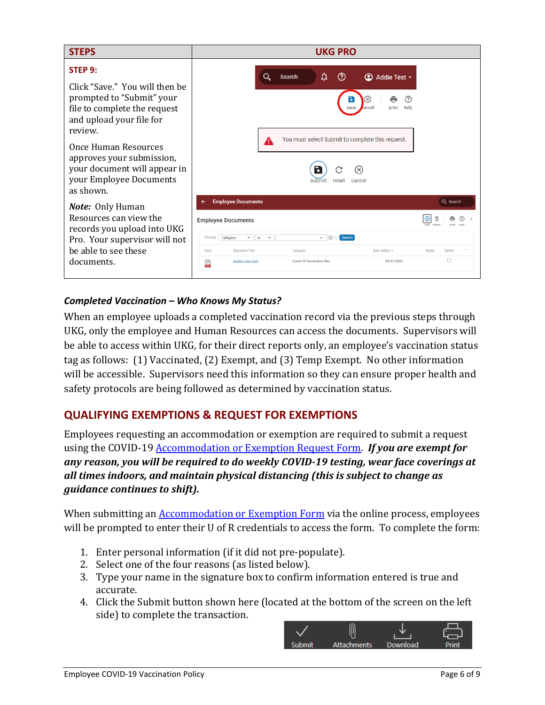

#### <span id="page-5-0"></span>*Completed Vaccination – Who Knows My Status?*

When an employee uploads a completed vaccination record via the previous steps through UKG, only the employee and Human Resources can access the documents. Supervisors will be able to access within UKG, for their direct reports only, an employee's vaccination status tag as follows: (1) Vaccinated, (2) Exempt, and (3) Temp Exempt. No other information will be accessible. Supervisors need this information so they can ensure proper health and safety protocols are being followed as determined by vaccination status.

# <span id="page-5-1"></span>**QUALIFYING EXEMPTIONS & REQUEST FOR EXEMPTIONS**

Employees requesting an accommodation or exemption are required to submit a request using the COVID-19 [Accommodation or Exemption Request Form.](https://etcentral.redlands.edu/#/form/177?header=false&focus=true) *If you are exempt for any reason, you will be required to do weekly COVID-19 testing, wear face coverings at all times indoors, and maintain physical distancing (this is subject to change as guidance continues to shift).*

When submitting an **Accommodation or Exemption Form** via the online process, employees will be prompted to enter their U of R credentials to access the form. To complete the form:

- 1. Enter personal information (if it did not pre-populate).
- 2. Select one of the four reasons (as listed below).
- 3. Type your name in the signature box to confirm information entered is true and accurate.
- 4. Click the Submit button shown here (located at the bottom of the screen on the left side) to complete the transaction.

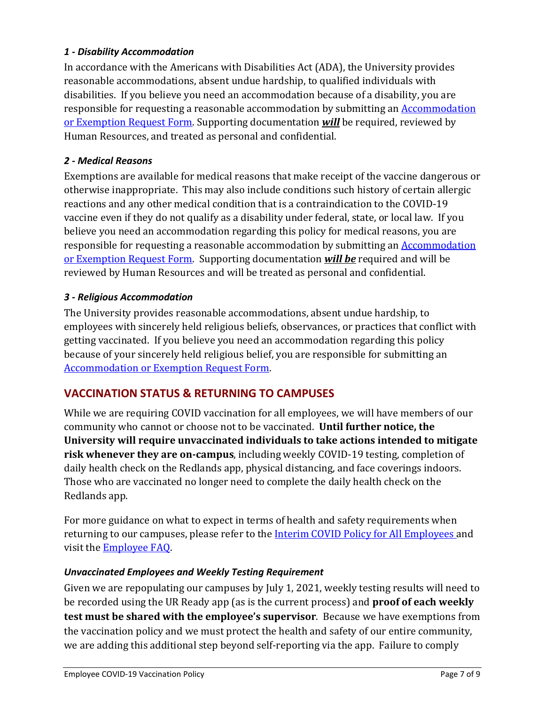#### <span id="page-6-0"></span>*1 - Disability Accommodation*

In accordance with the Americans with Disabilities Act (ADA), the University provides reasonable accommodations, absent undue hardship, to qualified individuals with disabilities. If you believe you need an accommodation because of a disability, you are responsible for requesting a reasonable accommodation by submitting an [Accommodation](https://etcentral.redlands.edu/#/form/177?header=false&focus=true)  [or Exemption Request Form.](https://etcentral.redlands.edu/#/form/177?header=false&focus=true) Supporting documentation *will* be required, reviewed by Human Resources, and treated as personal and confidential.

#### <span id="page-6-1"></span>*2 - Medical Reasons*

Exemptions are available for medical reasons that make receipt of the vaccine dangerous or otherwise inappropriate. This may also include conditions such history of certain allergic reactions and any other medical condition that is a contraindication to the COVID-19 vaccine even if they do not qualify as a disability under federal, state, or local law. If you believe you need an accommodation regarding this policy for medical reasons, you are responsible for requesting a reasonable accommodation by submitting an [Accommodation](https://etcentral.redlands.edu/#/form/177?header=false&focus=true)  [or Exemption Request Form.](https://etcentral.redlands.edu/#/form/177?header=false&focus=true) Supporting documentation *will be* required and will be reviewed by Human Resources and will be treated as personal and confidential.

#### <span id="page-6-2"></span>*3 - Religious Accommodation*

The University provides reasonable accommodations, absent undue hardship, to employees with sincerely held religious beliefs, observances, or practices that conflict with getting vaccinated. If you believe you need an accommodation regarding this policy because of your sincerely held religious belief, you are responsible for submitting an [Accommodation or Exemption Request Form.](https://etcentral.redlands.edu/#/form/177?header=false&focus=true)

# <span id="page-6-3"></span>**VACCINATION STATUS & RETURNING TO CAMPUSES**

While we are requiring COVID vaccination for all employees, we will have members of our community who cannot or choose not to be vaccinated. **Until further notice, the University will require unvaccinated individuals to take actions intended to mitigate risk whenever they are on-campus**, including weekly COVID-19 testing, completion of daily health check on the Redlands app, physical distancing, and face coverings indoors. Those who are vaccinated no longer need to complete the daily health check on the Redlands app.

For more guidance on what to expect in terms of health and safety requirements when returning to our campuses, please refer to the **Interim COVID Policy for All Employees** and visit the [Employee FAQ.](https://www.redlands.edu/urready/info-for-employees/)

#### <span id="page-6-4"></span>*Unvaccinated Employees and Weekly Testing Requirement*

Given we are repopulating our campuses by July 1, 2021, weekly testing results will need to be recorded using the UR Ready app (as is the current process) and **proof of each weekly test must be shared with the employee's supervisor**. Because we have exemptions from the vaccination policy and we must protect the health and safety of our entire community, we are adding this additional step beyond self-reporting via the app. Failure to comply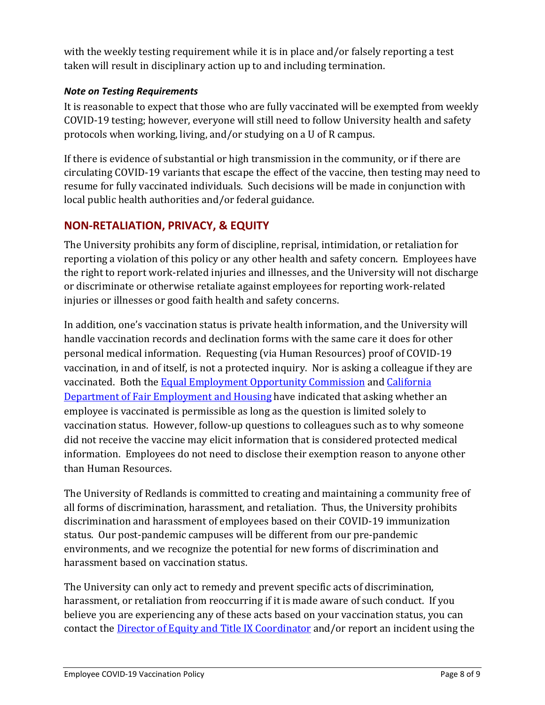with the weekly testing requirement while it is in place and/or falsely reporting a test taken will result in disciplinary action up to and including termination.

#### <span id="page-7-0"></span>*Note on Testing Requirements*

It is reasonable to expect that those who are fully vaccinated will be exempted from weekly COVID-19 testing; however, everyone will still need to follow University health and safety protocols when working, living, and/or studying on a U of R campus.

If there is evidence of substantial or high transmission in the community, or if there are circulating COVID-19 variants that escape the effect of the vaccine, then testing may need to resume for fully vaccinated individuals. Such decisions will be made in conjunction with local public health authorities and/or federal guidance.

# <span id="page-7-1"></span>**NON-RETALIATION, PRIVACY, & EQUITY**

The University prohibits any form of discipline, reprisal, intimidation, or retaliation for reporting a violation of this policy or any other health and safety concern. Employees have the right to report work-related injuries and illnesses, and the University will not discharge or discriminate or otherwise retaliate against employees for reporting work-related injuries or illnesses or good faith health and safety concerns.

In addition, one's vaccination status is private health information, and the University will handle vaccination records and declination forms with the same care it does for other personal medical information. Requesting (via Human Resources) proof of COVID-19 vaccination, in and of itself, is not a protected inquiry. Nor is asking a colleague if they are vaccinated. Both the [Equal Employment Opportunity Commission](https://www.eeoc.gov/wysk/what-you-should-know-about-covid-19-and-ada-rehabilitation-act-and-other-eeo-laws) and [California](https://www.dfeh.ca.gov/wp-content/uploads/sites/32/2020/03/DFEH-Employment-Information-on-COVID-19-FAQ_ENG.pdf)  [Department of Fair Employment and Housing](https://www.dfeh.ca.gov/wp-content/uploads/sites/32/2020/03/DFEH-Employment-Information-on-COVID-19-FAQ_ENG.pdf) have indicated that asking whether an employee is vaccinated is permissible as long as the question is limited solely to vaccination status. However, follow-up questions to colleagues such as to why someone did not receive the vaccine may elicit information that is considered protected medical information. Employees do not need to disclose their exemption reason to anyone other than Human Resources.

The University of Redlands is committed to creating and maintaining a community free of all forms of discrimination, harassment, and retaliation. Thus, the University prohibits discrimination and harassment of employees based on their COVID-19 immunization status. Our post-pandemic campuses will be different from our pre-pandemic environments, and we recognize the potential for new forms of discrimination and harassment based on vaccination status.

The University can only act to remedy and prevent specific acts of discrimination, harassment, or retaliation from reoccurring if it is made aware of such conduct. If you believe you are experiencing any of these acts based on your vaccination status, you can contact the Director [of Equity and Title IX Coordinator](https://sites.redlands.edu/titleixandequity/office-of-title-ix-team/) and/or report an incident using the